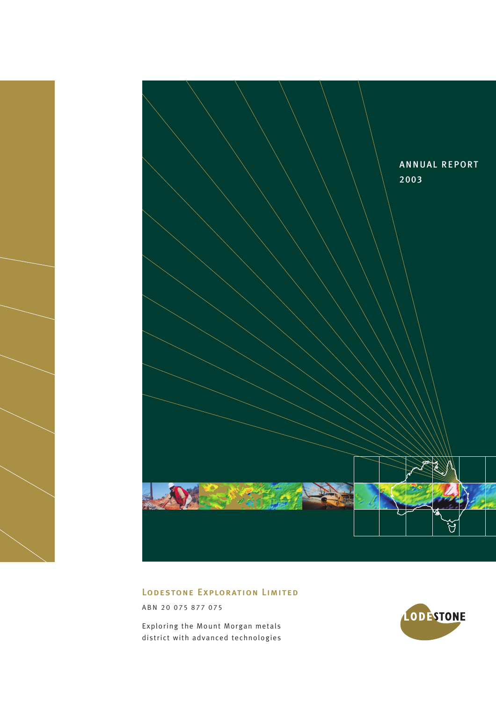

# Lodestone Exploration Limited

ABN 20 075 877 075

Exploring the Mount Morgan metals district with advanced technologies

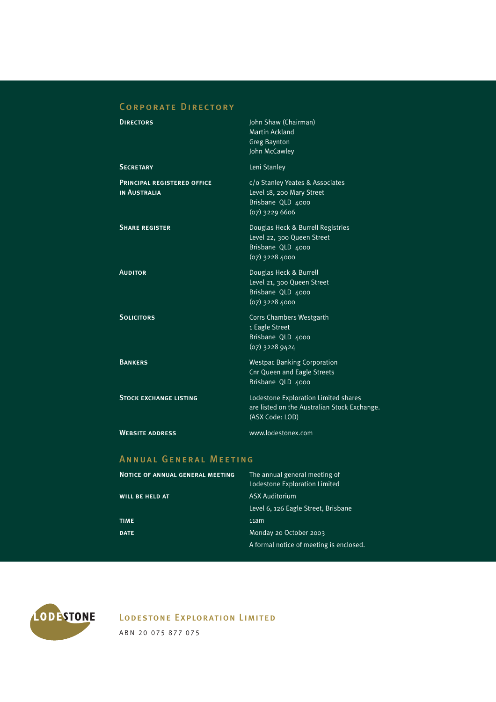## Corporate Directory

| <b>DIRECTORS</b>                                          | John Shaw (Chairman)<br><b>Martin Ackland</b><br><b>Greg Baynton</b><br>John McCawley                    |
|-----------------------------------------------------------|----------------------------------------------------------------------------------------------------------|
| <b>SECRETARY</b>                                          | Leni Stanley                                                                                             |
| <b>PRINCIPAL REGISTERED OFFICE</b><br><b>IN AUSTRALIA</b> | c/o Stanley Yeates & Associates<br>Level 18, 200 Mary Street<br>Brisbane QLD 4000<br>$(07)$ 3229 6606    |
| <b>SHARE REGISTER</b>                                     | Douglas Heck & Burrell Registries<br>Level 22, 300 Queen Street<br>Brisbane QLD 4000<br>$(07)$ 3228 4000 |
| <b>AUDITOR</b>                                            | Douglas Heck & Burrell<br>Level 21, 300 Queen Street<br>Brisbane QLD 4000<br>$(07)$ 3228 4000            |
| <b>SOLICITORS</b>                                         | <b>Corrs Chambers Westgarth</b><br>1 Eagle Street<br>Brisbane QLD 4000<br>$(07)$ 3228 9424               |
| <b>BANKERS</b>                                            | <b>Westpac Banking Corporation</b><br><b>Cnr Queen and Eagle Streets</b><br>Brisbane QLD 4000            |
| <b>STOCK EXCHANGE LISTING</b>                             | Lodestone Exploration Limited shares<br>are listed on the Australian Stock Exchange.<br>(ASX Code: LOD)  |
| <b>WEBSITE ADDRESS</b>                                    | www.lodestonex.com                                                                                       |
|                                                           |                                                                                                          |

## Annual General Meeting

| <b>NOTICE OF ANNUAL GENERAL MEETING</b> | The annual general meeting of           |
|-----------------------------------------|-----------------------------------------|
|                                         | Lodestone Exploration Limited           |
| WILL BE HELD AT                         | <b>ASX Auditorium</b>                   |
|                                         | Level 6, 126 Eagle Street, Brisbane     |
| <b>TIME</b>                             | 11am                                    |
| <b>DATE</b>                             | Monday 20 October 2003                  |
|                                         | A formal notice of meeting is enclosed. |



## Lodestone Exploration Limited

ABN 20 075 877 075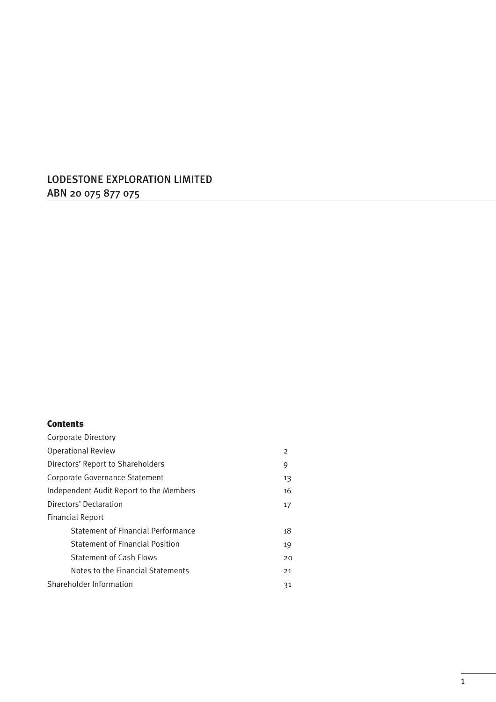# LODESTONE EXPLORATION LIMITED ABN 20 075 877 075

## **Contents**

| Corporate Directory                     |    |
|-----------------------------------------|----|
| <b>Operational Review</b>               | 2  |
| Directors' Report to Shareholders       | 9  |
| Corporate Governance Statement          | 13 |
| Independent Audit Report to the Members | 16 |
| Directors' Declaration                  | 17 |
| <b>Financial Report</b>                 |    |
| Statement of Financial Performance      | 18 |
| <b>Statement of Financial Position</b>  | 19 |
| <b>Statement of Cash Flows</b>          | 20 |
| Notes to the Financial Statements       | 21 |
| Shareholder Information                 |    |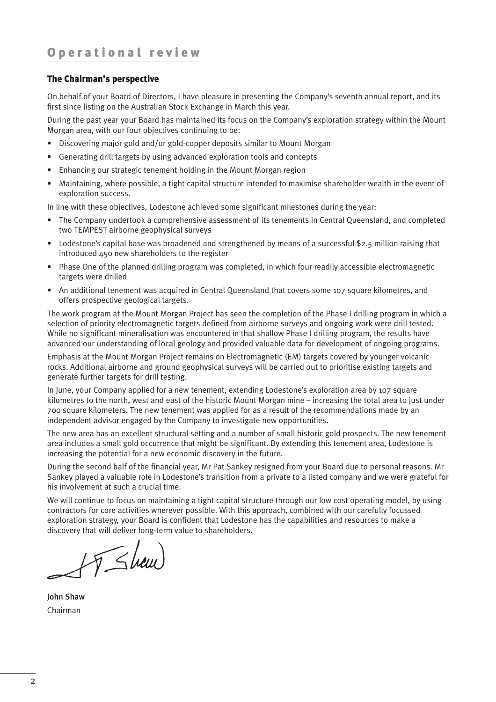## The Chairman's perspective

On behalf of your Board of Directors, I have pleasure in presenting the Company's seventh annual report, and its first since listing on the Australian Stock Exchange in March this year.

During the past year your Board has maintained its focus on the Company's exploration strategy within the Mount Morgan area, with our four objectives continuing to be:

- Discovering major gold and/or gold-copper deposits similar to Mount Morgan
- Generating drill targets by using advanced exploration tools and concepts
- Enhancing our strategic tenement holding in the Mount Morgan region
- Maintaining, where possible, a tight capital structure intended to maximise shareholder wealth in the event of exploration success.

In line with these objectives, Lodestone achieved some significant milestones during the year:

- The Company undertook a comprehensive assessment of its tenements in Central Queensland, and completed two TEMPEST airborne geophysical surveys
- Lodestone's capital base was broadened and strengthened by means of a successful \$2.5 million raising that introduced 450 new shareholders to the register
- Phase One of the planned drilling program was completed, in which four readily accessible electromagnetic targets were drilled
- An additional tenement was acquired in Central Queensland that covers some 107 square kilometres, and offers prospective geological targets.

The work program at the Mount Morgan Project has seen the completion of the Phase I drilling program in which a selection of priority electromagnetic targets defined from airborne surveys and ongoing work were drill tested. While no significant mineralisation was encountered in that shallow Phase I drilling program, the results have advanced our understanding of local geology and provided valuable data for development of ongoing programs.

Emphasis at the Mount Morgan Project remains on Electromagnetic (EM) targets covered by younger volcanic rocks. Additional airborne and ground geophysical surveys will be carried out to prioritise existing targets and generate further targets for drill testing.

In June, your Company applied for a new tenement, extending Lodestone's exploration area by 107 square kilometres to the north, west and east of the historic Mount Morgan mine – increasing the total area to just under 700 square kilometers. The new tenement was applied for as a result of the recommendations made by an independent advisor engaged by the Company to investigate new opportunities.

The new area has an excellent structural setting and a number of small historic gold prospects. The new tenement area includes a small gold occurrence that might be significant. By extending this tenement area, Lodestone is increasing the potential for a new economic discovery in the future.

During the second half of the financial year, Mr Pat Sankey resigned from your Board due to personal reasons. Mr Sankey played a valuable role in Lodestone's transition from a private to a listed company and we were grateful for his involvement at such a crucial time.

We will continue to focus on maintaining a tight capital structure through our low cost operating model, by using contractors for core activities wherever possible. With this approach, combined with our carefully focussed exploration strategy, your Board is confident that Lodestone has the capabilities and resources to make a discovery that will deliver long-term value to shareholders.

LJ Show

John Shaw Chairman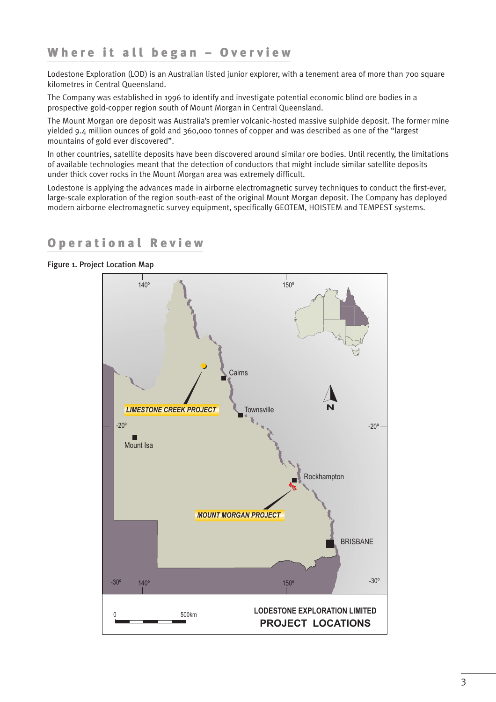Lodestone Exploration (LOD) is an Australian listed junior explorer, with a tenement area of more than 700 square kilometres in Central Queensland.

The Company was established in 1996 to identify and investigate potential economic blind ore bodies in a prospective gold-copper region south of Mount Morgan in Central Queensland.

The Mount Morgan ore deposit was Australia's premier volcanic-hosted massive sulphide deposit. The former mine yielded 9.4 million ounces of gold and 360,000 tonnes of copper and was described as one of the "largest mountains of gold ever discovered".

In other countries, satellite deposits have been discovered around similar ore bodies. Until recently, the limitations of available technologies meant that the detection of conductors that might include similar satellite deposits under thick cover rocks in the Mount Morgan area was extremely difficult.

Lodestone is applying the advances made in airborne electromagnetic survey techniques to conduct the first-ever, large-scale exploration of the region south-east of the original Mount Morgan deposit. The Company has deployed modern airborne electromagnetic survey equipment, specifically GEOTEM, HOISTEM and TEMPEST systems.

# Operational Review



Figure 1. Project Location Map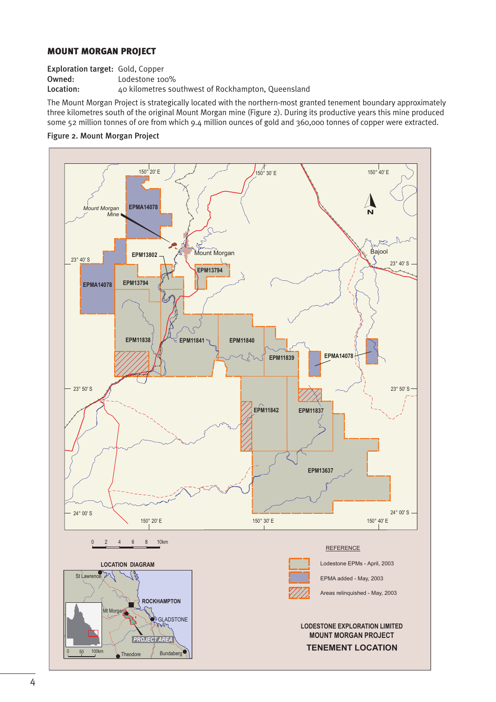## MOUNT MORGAN PROJECT

Exploration target: Gold, Copper<br>Owned: Lodestone 10 Owned: Lodestone 100%<br>
Location: 40 kilometres so Location: 40 kilometres southwest of Rockhampton, Queensland

The Mount Morgan Project is strategically located with the northern-most granted tenement boundary approximately three kilometres south of the original Mount Morgan mine (Figure 2). During its productive years this mine produced some 52 million tonnes of ore from which 9.4 million ounces of gold and 360,000 tonnes of copper were extracted.

### Figure 2. Mount Morgan Project

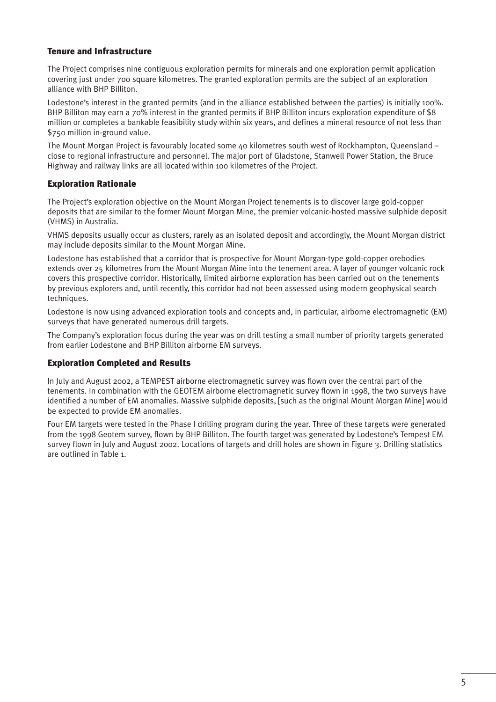## Tenure and Infrastructure

The Project comprises nine contiguous exploration permits for minerals and one exploration permit application covering just under 700 square kilometres. The granted exploration permits are the subject of an exploration alliance with BHP Billiton.

Lodestone's interest in the granted permits (and in the alliance established between the parties) is initially 100%. BHP Billiton may earn a 70% interest in the granted permits if BHP Billiton incurs exploration expenditure of \$8 million or completes a bankable feasibility study within six years, and defines a mineral resource of not less than \$750 million in-ground value.

The Mount Morgan Project is favourably located some 40 kilometres south west of Rockhampton, Queensland – close to regional infrastructure and personnel. The major port of Gladstone, Stanwell Power Station, the Bruce Highway and railway links are all located within 100 kilometres of the Project.

## Exploration Rationale

The Project's exploration objective on the Mount Morgan Project tenements is to discover large gold-copper deposits that are similar to the former Mount Morgan Mine, the premier volcanic-hosted massive sulphide deposit (VHMS) in Australia.

VHMS deposits usually occur as clusters, rarely as an isolated deposit and accordingly, the Mount Morgan district may include deposits similar to the Mount Morgan Mine.

Lodestone has established that a corridor that is prospective for Mount Morgan-type gold-copper orebodies extends over 25 kilometres from the Mount Morgan Mine into the tenement area. A layer of younger volcanic rock covers this prospective corridor. Historically, limited airborne exploration has been carried out on the tenements by previous explorers and, until recently, this corridor had not been assessed using modern geophysical search techniques.

Lodestone is now using advanced exploration tools and concepts and, in particular, airborne electromagnetic (EM) surveys that have generated numerous drill targets.

The Company's exploration focus during the year was on drill testing a small number of priority targets generated from earlier Lodestone and BHP Billiton airborne EM surveys.

### Exploration Completed and Results

In July and August 2002, a TEMPEST airborne electromagnetic survey was flown over the central part of the tenements. In combination with the GEOTEM airborne electromagnetic survey flown in 1998, the two surveys have identified a number of EM anomalies. Massive sulphide deposits, [such as the original Mount Morgan Mine] would be expected to provide EM anomalies.

Four EM targets were tested in the Phase I drilling program during the year. Three of these targets were generated from the 1998 Geotem survey, flown by BHP Billiton. The fourth target was generated by Lodestone's Tempest EM survey flown in July and August 2002. Locations of targets and drill holes are shown in Figure 3. Drilling statistics are outlined in Table 1.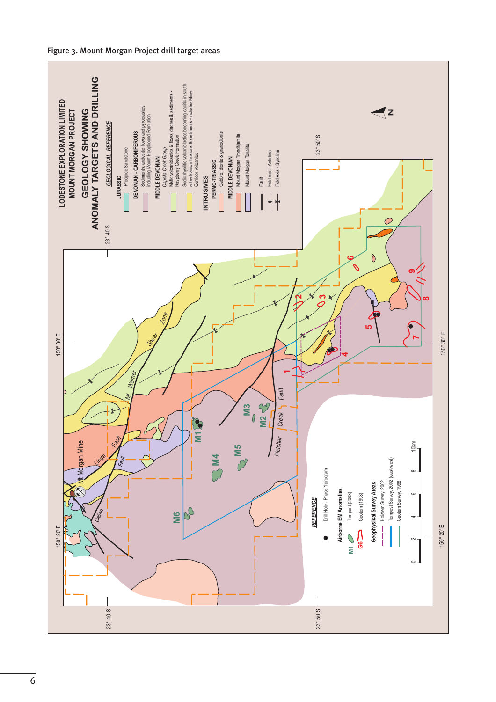

## Figure 3. Mount Morgan Project drill target areas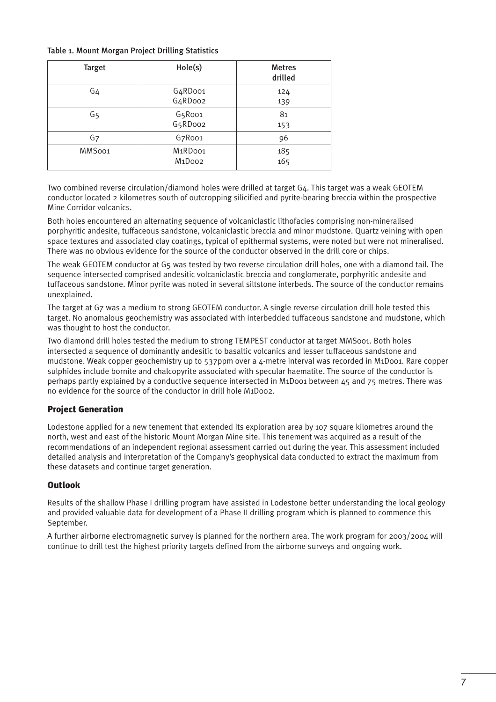### Table 1. Mount Morgan Project Drilling Statistics

| <b>Target</b>  | Hole(s)                                                             | <b>Metres</b><br>drilled |
|----------------|---------------------------------------------------------------------|--------------------------|
| G <sub>4</sub> | G4RDoo1<br>G4RDoo2                                                  | 124<br>139               |
| G <sub>5</sub> | G5Roo1<br>G5RDoo2                                                   | 81<br>153                |
| G7             | G7Roo1                                                              | 96                       |
| MMSoo1         | M <sub>1</sub> RDoo <sub>1</sub><br>M <sub>1</sub> Doo <sub>2</sub> | 185<br>165               |

Two combined reverse circulation/diamond holes were drilled at target G4. This target was a weak GEOTEM conductor located 2 kilometres south of outcropping silicified and pyrite-bearing breccia within the prospective Mine Corridor volcanics.

Both holes encountered an alternating sequence of volcaniclastic lithofacies comprising non-mineralised porphyritic andesite, tuffaceous sandstone, volcaniclastic breccia and minor mudstone. Quartz veining with open space textures and associated clay coatings, typical of epithermal systems, were noted but were not mineralised. There was no obvious evidence for the source of the conductor observed in the drill core or chips.

The weak GEOTEM conductor at G5 was tested by two reverse circulation drill holes, one with a diamond tail. The sequence intersected comprised andesitic volcaniclastic breccia and conglomerate, porphyritic andesite and tuffaceous sandstone. Minor pyrite was noted in several siltstone interbeds. The source of the conductor remains unexplained.

The target at G7 was a medium to strong GEOTEM conductor. A single reverse circulation drill hole tested this target. No anomalous geochemistry was associated with interbedded tuffaceous sandstone and mudstone, which was thought to host the conductor.

Two diamond drill holes tested the medium to strong TEMPEST conductor at target MMS001. Both holes intersected a sequence of dominantly andesitic to basaltic volcanics and lesser tuffaceous sandstone and mudstone. Weak copper geochemistry up to 537ppm over a 4-metre interval was recorded in M1D001. Rare copper sulphides include bornite and chalcopyrite associated with specular haematite. The source of the conductor is perhaps partly explained by a conductive sequence intersected in M1D001 between 45 and 75 metres. There was no evidence for the source of the conductor in drill hole M1D002.

## Project Generation

Lodestone applied for a new tenement that extended its exploration area by 107 square kilometres around the north, west and east of the historic Mount Morgan Mine site. This tenement was acquired as a result of the recommendations of an independent regional assessment carried out during the year. This assessment included detailed analysis and interpretation of the Company's geophysical data conducted to extract the maximum from these datasets and continue target generation.

## **Outlook**

Results of the shallow Phase I drilling program have assisted in Lodestone better understanding the local geology and provided valuable data for development of a Phase II drilling program which is planned to commence this September.

A further airborne electromagnetic survey is planned for the northern area. The work program for 2003/2004 will continue to drill test the highest priority targets defined from the airborne surveys and ongoing work.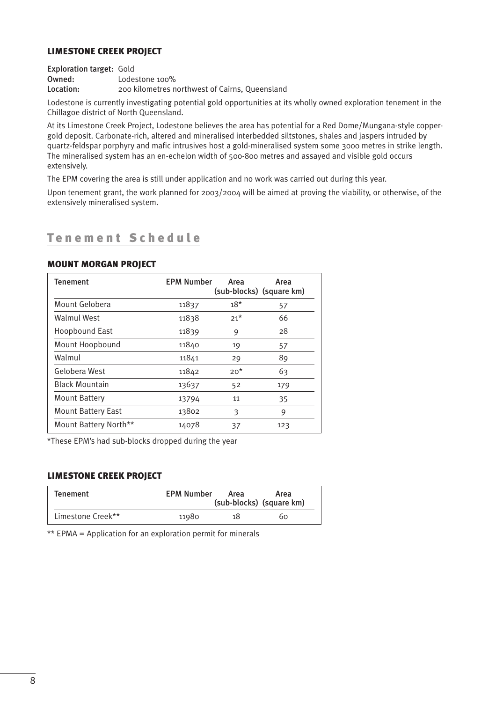## LIMESTONE CREEK PROJECT

#### Exploration target: Gold<br>Owned: Lode Lodestone 100% Location: 200 kilometres northwest of Cairns, Queensland

Lodestone is currently investigating potential gold opportunities at its wholly owned exploration tenement in the Chillagoe district of North Queensland.

At its Limestone Creek Project, Lodestone believes the area has potential for a Red Dome/Mungana-style coppergold deposit. Carbonate-rich, altered and mineralised interbedded siltstones, shales and jaspers intruded by quartz-feldspar porphyry and mafic intrusives host a gold-mineralised system some 3000 metres in strike length. The mineralised system has an en-echelon width of 500-800 metres and assayed and visible gold occurs extensively.

The EPM covering the area is still under application and no work was carried out during this year.

Upon tenement grant, the work planned for 2003/2004 will be aimed at proving the viability, or otherwise, of the extensively mineralised system.

## Tenement Schedule

### MOUNT MORGAN PROJECT

| <b>Tenement</b>           | <b>EPM Number</b> | Area  | Area<br>(sub-blocks) (square km) |
|---------------------------|-------------------|-------|----------------------------------|
| Mount Gelobera            | 11837             | $18*$ | 57                               |
| Walmul West               | 11838             | $21*$ | 66                               |
| Hoopbound East            | 11839             | 9     | 28                               |
| Mount Hoopbound           | 11840             | 19    | 57                               |
| Walmul                    | 11841             | 29    | 89                               |
| Gelobera West             | 11842             | $20*$ | 63                               |
| <b>Black Mountain</b>     | 13637             | 52    | 179                              |
| <b>Mount Battery</b>      | 13794             | 11    | 35                               |
| <b>Mount Battery East</b> | 13802             | 3     | 9                                |
| Mount Battery North**     | 14078             | 37    | 123                              |

\*These EPM's had sub-blocks dropped during the year

### LIMESTONE CREEK PROJECT

| Tenement          | <b>EPM Number</b> | Area | Area<br>(sub-blocks) (square km) |
|-------------------|-------------------|------|----------------------------------|
| Limestone Creek** | 11980             | 18   | 60                               |

\*\* EPMA = Application for an exploration permit for minerals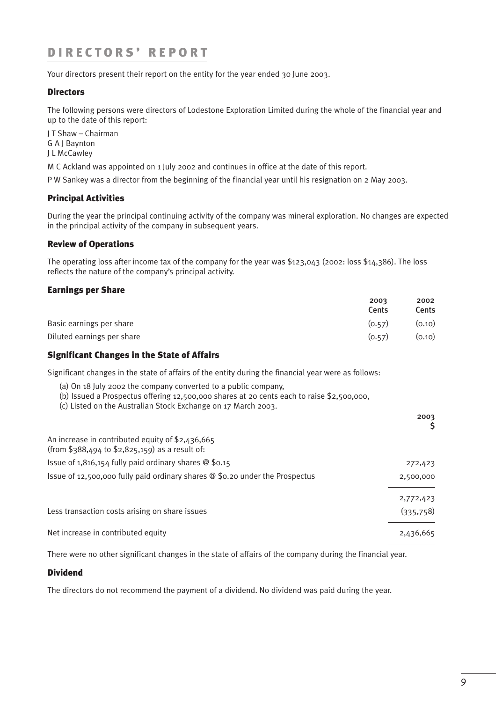# DIRECTORS' REPORT

Your directors present their report on the entity for the year ended 30 June 2003.

## **Directors**

The following persons were directors of Lodestone Exploration Limited during the whole of the financial year and up to the date of this report:

J T Shaw – Chairman G A J Baynton J L McCawley

M C Ackland was appointed on 1 July 2002 and continues in office at the date of this report.

P W Sankey was a director from the beginning of the financial year until his resignation on 2 May 2003.

## Principal Activities

During the year the principal continuing activity of the company was mineral exploration. No changes are expected in the principal activity of the company in subsequent years.

### Review of Operations

The operating loss after income tax of the company for the year was \$123,043 (2002: loss \$14,386). The loss reflects the nature of the company's principal activity.

### Earnings per Share

|                            | 2003<br>Cents | 2002<br>Cents |
|----------------------------|---------------|---------------|
| Basic earnings per share   | (0.57)        | (0.10)        |
| Diluted earnings per share | (0.57)        | (0.10)        |

## Significant Changes in the State of Affairs

Significant changes in the state of affairs of the entity during the financial year were as follows:

- (a) On 18 July 2002 the company converted to a public company,
- (b) Issued a Prospectus offering 12,500,000 shares at 20 cents each to raise \$2,500,000,
- (c) Listed on the Australian Stock Exchange on 17 March 2003.

|                                                                                                     | 2003      |
|-----------------------------------------------------------------------------------------------------|-----------|
| An increase in contributed equity of \$2,436,665<br>(from \$388,494 to \$2,825,159) as a result of: |           |
| Issue of $1,816,154$ fully paid ordinary shares $\circledR$ \$0.15                                  | 272,423   |
| Issue of 12,500,000 fully paid ordinary shares $\mathcal Q$ \$0.20 under the Prospectus             | 2,500,000 |
|                                                                                                     | 2,772,423 |
| Less transaction costs arising on share issues                                                      | (335,758) |
| Net increase in contributed equity                                                                  | 2,436,665 |

There were no other significant changes in the state of affairs of the company during the financial year.

### **Dividend**

The directors do not recommend the payment of a dividend. No dividend was paid during the year.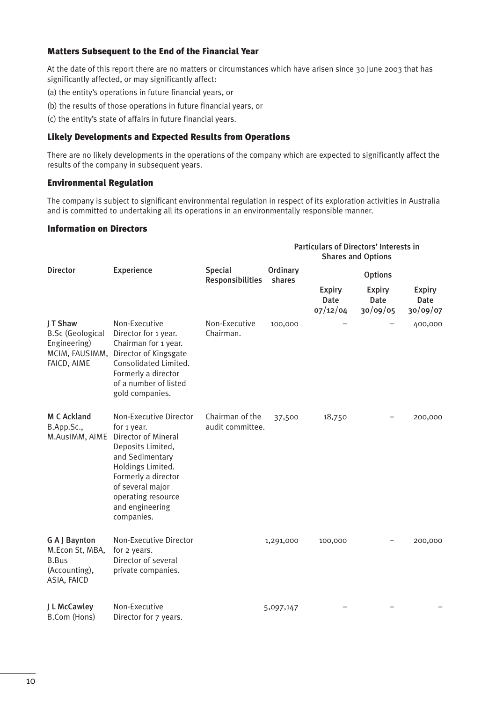## Matters Subsequent to the End of the Financial Year

At the date of this report there are no matters or circumstances which have arisen since 30 June 2003 that has significantly affected, or may significantly affect:

- (a) the entity's operations in future financial years, or
- (b) the results of those operations in future financial years, or
- (c) the entity's state of affairs in future financial years.

## Likely Developments and Expected Results from Operations

There are no likely developments in the operations of the company which are expected to significantly affect the results of the company in subsequent years.

### Environmental Regulation

The company is subject to significant environmental regulation in respect of its exploration activities in Australia and is committed to undertaking all its operations in an environmentally responsible manner.

## Information on Directors

|                                                                                      |                                                                                                                                                                                                                             |                                           |                    |                                          | Particulars of Directors' Interests in<br><b>Shares and Options</b> |                                          |
|--------------------------------------------------------------------------------------|-----------------------------------------------------------------------------------------------------------------------------------------------------------------------------------------------------------------------------|-------------------------------------------|--------------------|------------------------------------------|---------------------------------------------------------------------|------------------------------------------|
| <b>Director</b>                                                                      | Experience                                                                                                                                                                                                                  | <b>Special</b><br><b>Responsibilities</b> | Ordinary<br>shares |                                          | <b>Options</b>                                                      |                                          |
|                                                                                      |                                                                                                                                                                                                                             |                                           |                    | <b>Expiry</b><br><b>Date</b><br>07/12/04 | <b>Expiry</b><br><b>Date</b><br>30/09/05                            | <b>Expiry</b><br><b>Date</b><br>30/09/07 |
| J T Shaw<br><b>B.Sc (Geological</b><br>Engineering)<br>MCIM, FAUSIMM,<br>FAICD, AIME | Non-Executive<br>Director for 1 year.<br>Chairman for 1 year.<br>Director of Kingsgate<br>Consolidated Limited.<br>Formerly a director<br>of a number of listed<br>gold companies.                                          | Non-Executive<br>Chairman.                | 100,000            |                                          |                                                                     | 400,000                                  |
| <b>M C Ackland</b><br>B.App.Sc.,<br>M.AusIMM, AIME                                   | Non-Executive Director<br>for 1 year.<br>Director of Mineral<br>Deposits Limited,<br>and Sedimentary<br>Holdings Limited.<br>Formerly a director<br>of several major<br>operating resource<br>and engineering<br>companies. | Chairman of the<br>audit committee.       | 37,500             | 18,750                                   |                                                                     | 200,000                                  |
| G A J Baynton<br>M.Econ St, MBA,<br><b>B.Bus</b><br>(Accounting),<br>ASIA, FAICD     | Non-Executive Director<br>for 2 years.<br>Director of several<br>private companies.                                                                                                                                         |                                           | 1,291,000          | 100,000                                  |                                                                     | 200,000                                  |
| J L McCawley<br>B.Com (Hons)                                                         | Non-Executive<br>Director for 7 years.                                                                                                                                                                                      |                                           | 5,097,147          |                                          |                                                                     |                                          |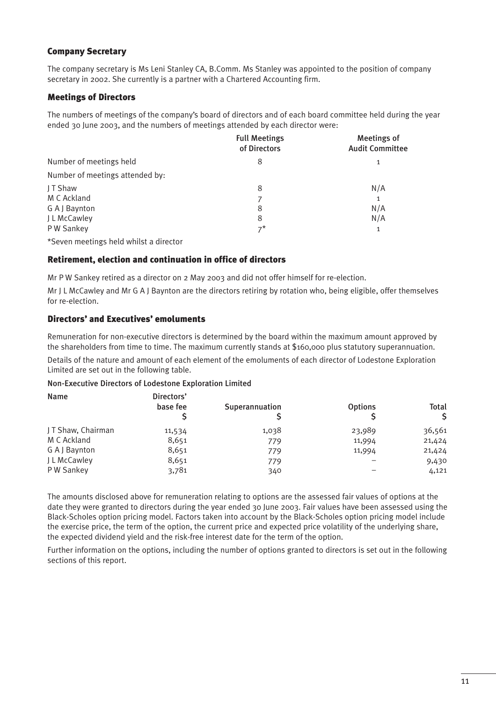## Company Secretary

The company secretary is Ms Leni Stanley CA, B.Comm. Ms Stanley was appointed to the position of company secretary in 2002. She currently is a partner with a Chartered Accounting firm.

## Meetings of Directors

The numbers of meetings of the company's board of directors and of each board committee held during the year ended 30 June 2003, and the numbers of meetings attended by each director were:

|                                                                                                                                                                                                                                 | <b>Full Meetings</b><br>of Directors | <b>Meetings of</b><br><b>Audit Committee</b> |
|---------------------------------------------------------------------------------------------------------------------------------------------------------------------------------------------------------------------------------|--------------------------------------|----------------------------------------------|
| Number of meetings held                                                                                                                                                                                                         | 8                                    | 1                                            |
| Number of meetings attended by:                                                                                                                                                                                                 |                                      |                                              |
| J T Shaw                                                                                                                                                                                                                        | 8                                    | N/A                                          |
| M C Ackland                                                                                                                                                                                                                     |                                      | 1                                            |
| G A J Baynton                                                                                                                                                                                                                   | 8                                    | N/A                                          |
| J L McCawley                                                                                                                                                                                                                    | 8                                    | N/A                                          |
| P W Sankey                                                                                                                                                                                                                      | $7^{\star}$                          | 1                                            |
| $\sim$ . The contract of the contract of the contract of the contract of the contract of the contract of the contract of the contract of the contract of the contract of the contract of the contract of the contract of the co |                                      |                                              |

\*Seven meetings held whilst a director

### Retirement, election and continuation in office of directors

Mr P W Sankey retired as a director on 2 May 2003 and did not offer himself for re-election.

Mr J L McCawley and Mr G A J Baynton are the directors retiring by rotation who, being eligible, offer themselves for re-election.

### Directors' and Executives' emoluments

Remuneration for non-executive directors is determined by the board within the maximum amount approved by the shareholders from time to time. The maximum currently stands at \$160,000 plus statutory superannuation.

Details of the nature and amount of each element of the emoluments of each director of Lodestone Exploration Limited are set out in the following table.

#### Non-Executive Directors of Lodestone Exploration Limited

| Name               | Directors'<br>base fee | Superannuation | <b>Options</b> | <b>Total</b><br><b>S</b> |
|--------------------|------------------------|----------------|----------------|--------------------------|
|                    |                        |                |                |                          |
| J T Shaw, Chairman | 11,534                 | 1,038          | 23,989         | 36,561                   |
| M C Ackland        | 8,651                  | 779            | 11,994         | 21,424                   |
| G A J Baynton      | 8,651                  | 779            | 11,994         | 21,424                   |
| J L McCawley       | 8,651                  | 779            |                | 9,430                    |
| P W Sankey         | 3,781                  | 340            |                | 4,121                    |

The amounts disclosed above for remuneration relating to options are the assessed fair values of options at the date they were granted to directors during the year ended 30 June 2003. Fair values have been assessed using the Black-Scholes option pricing model. Factors taken into account by the Black-Scholes option pricing model include the exercise price, the term of the option, the current price and expected price volatility of the underlying share, the expected dividend yield and the risk-free interest date for the term of the option.

Further information on the options, including the number of options granted to directors is set out in the following sections of this report.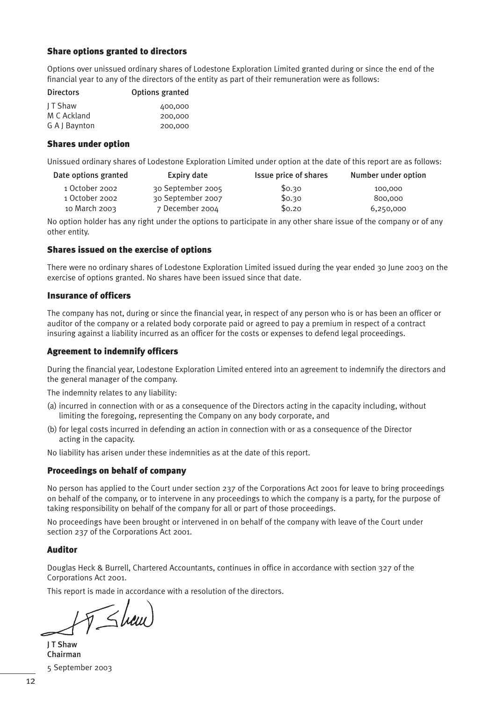## Share options granted to directors

Options over unissued ordinary shares of Lodestone Exploration Limited granted during or since the end of the financial year to any of the directors of the entity as part of their remuneration were as follows:

### Directors Options granted

| IT Shaw       | 400,000 |
|---------------|---------|
| M C Ackland   | 200,000 |
| G A J Baynton | 200,000 |

### Shares under option

Unissued ordinary shares of Lodestone Exploration Limited under option at the date of this report are as follows:

| Date options granted | Expiry date       | <b>Issue price of shares</b> | <b>Number under option</b> |
|----------------------|-------------------|------------------------------|----------------------------|
| 1 October 2002       | 30 September 2005 | \$0.30                       | 100,000                    |
| 1 October 2002       | 30 September 2007 | \$0.30                       | 800,000                    |
| 10 March 2003        | 7 December 2004   | \$0.20                       | 6,250,000                  |

No option holder has any right under the options to participate in any other share issue of the company or of any other entity.

## Shares issued on the exercise of options

There were no ordinary shares of Lodestone Exploration Limited issued during the year ended 30 June 2003 on the exercise of options granted. No shares have been issued since that date.

## Insurance of officers

The company has not, during or since the financial year, in respect of any person who is or has been an officer or auditor of the company or a related body corporate paid or agreed to pay a premium in respect of a contract insuring against a liability incurred as an officer for the costs or expenses to defend legal proceedings.

## Agreement to indemnify officers

During the financial year, Lodestone Exploration Limited entered into an agreement to indemnify the directors and the general manager of the company.

The indemnity relates to any liability:

- (a) incurred in connection with or as a consequence of the Directors acting in the capacity including, without limiting the foregoing, representing the Company on any body corporate, and
- (b) for legal costs incurred in defending an action in connection with or as a consequence of the Director acting in the capacity.

No liability has arisen under these indemnities as at the date of this report.

## Proceedings on behalf of company

No person has applied to the Court under section 237 of the Corporations Act 2001 for leave to bring proceedings on behalf of the company, or to intervene in any proceedings to which the company is a party, for the purpose of taking responsibility on behalf of the company for all or part of those proceedings.

No proceedings have been brought or intervened in on behalf of the company with leave of the Court under section 237 of the Corporations Act 2001.

### Auditor

Douglas Heck & Burrell, Chartered Accountants, continues in office in accordance with section 327 of the Corporations Act 2001.

This report is made in accordance with a resolution of the directors.

J Show

J T Shaw Chairman 5 September 2003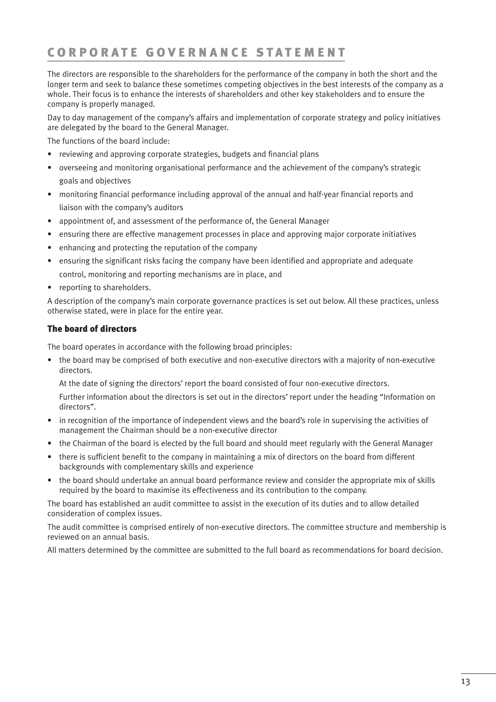# CORPORATE GOVERNANCE STATEMENT

The directors are responsible to the shareholders for the performance of the company in both the short and the longer term and seek to balance these sometimes competing objectives in the best interests of the company as a whole. Their focus is to enhance the interests of shareholders and other key stakeholders and to ensure the company is properly managed.

Day to day management of the company's affairs and implementation of corporate strategy and policy initiatives are delegated by the board to the General Manager.

The functions of the board include:

- reviewing and approving corporate strategies, budgets and financial plans
- overseeing and monitoring organisational performance and the achievement of the company's strategic goals and objectives
- monitoring financial performance including approval of the annual and half-year financial reports and liaison with the company's auditors
- appointment of, and assessment of the performance of, the General Manager
- ensuring there are effective management processes in place and approving major corporate initiatives
- enhancing and protecting the reputation of the company
- ensuring the significant risks facing the company have been identified and appropriate and adequate control, monitoring and reporting mechanisms are in place, and
- reporting to shareholders.

A description of the company's main corporate governance practices is set out below. All these practices, unless otherwise stated, were in place for the entire year.

## The board of directors

The board operates in accordance with the following broad principles:

• the board may be comprised of both executive and non-executive directors with a majority of non-executive directors.

At the date of signing the directors' report the board consisted of four non-executive directors.

Further information about the directors is set out in the directors' report under the heading "Information on directors".

- in recognition of the importance of independent views and the board's role in supervising the activities of management the Chairman should be a non-executive director
- the Chairman of the board is elected by the full board and should meet regularly with the General Manager
- there is sufficient benefit to the company in maintaining a mix of directors on the board from different backgrounds with complementary skills and experience
- the board should undertake an annual board performance review and consider the appropriate mix of skills required by the board to maximise its effectiveness and its contribution to the company.

The board has established an audit committee to assist in the execution of its duties and to allow detailed consideration of complex issues.

The audit committee is comprised entirely of non-executive directors. The committee structure and membership is reviewed on an annual basis.

All matters determined by the committee are submitted to the full board as recommendations for board decision.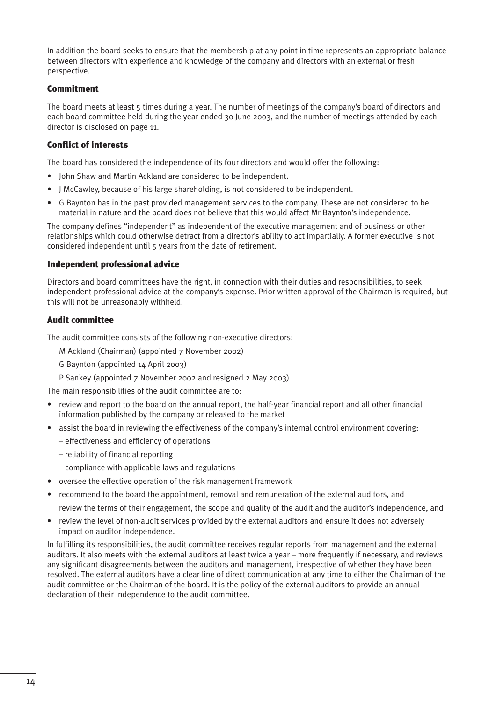In addition the board seeks to ensure that the membership at any point in time represents an appropriate balance between directors with experience and knowledge of the company and directors with an external or fresh perspective.

## **Commitment**

The board meets at least 5 times during a year. The number of meetings of the company's board of directors and each board committee held during the year ended 30 June 2003, and the number of meetings attended by each director is disclosed on page 11.

## Conflict of interests

The board has considered the independence of its four directors and would offer the following:

- John Shaw and Martin Ackland are considered to be independent.
- J McCawley, because of his large shareholding, is not considered to be independent.
- G Baynton has in the past provided management services to the company. These are not considered to be material in nature and the board does not believe that this would affect Mr Baynton's independence.

The company defines "independent" as independent of the executive management and of business or other relationships which could otherwise detract from a director's ability to act impartially. A former executive is not considered independent until 5 years from the date of retirement.

### Independent professional advice

Directors and board committees have the right, in connection with their duties and responsibilities, to seek independent professional advice at the company's expense. Prior written approval of the Chairman is required, but this will not be unreasonably withheld.

## Audit committee

The audit committee consists of the following non-executive directors:

- M Ackland (Chairman) (appointed 7 November 2002)
- G Baynton (appointed 14 April 2003)
- P Sankey (appointed 7 November 2002 and resigned 2 May 2003)

The main responsibilities of the audit committee are to:

- review and report to the board on the annual report, the half-year financial report and all other financial information published by the company or released to the market
- assist the board in reviewing the effectiveness of the company's internal control environment covering:
	- effectiveness and efficiency of operations
	- reliability of financial reporting
	- compliance with applicable laws and regulations
- oversee the effective operation of the risk management framework
- recommend to the board the appointment, removal and remuneration of the external auditors, and review the terms of their engagement, the scope and quality of the audit and the auditor's independence, and
- review the level of non-audit services provided by the external auditors and ensure it does not adversely impact on auditor independence.

In fulfilling its responsibilities, the audit committee receives regular reports from management and the external auditors. It also meets with the external auditors at least twice a year – more frequently if necessary, and reviews any significant disagreements between the auditors and management, irrespective of whether they have been resolved. The external auditors have a clear line of direct communication at any time to either the Chairman of the audit committee or the Chairman of the board. It is the policy of the external auditors to provide an annual declaration of their independence to the audit committee.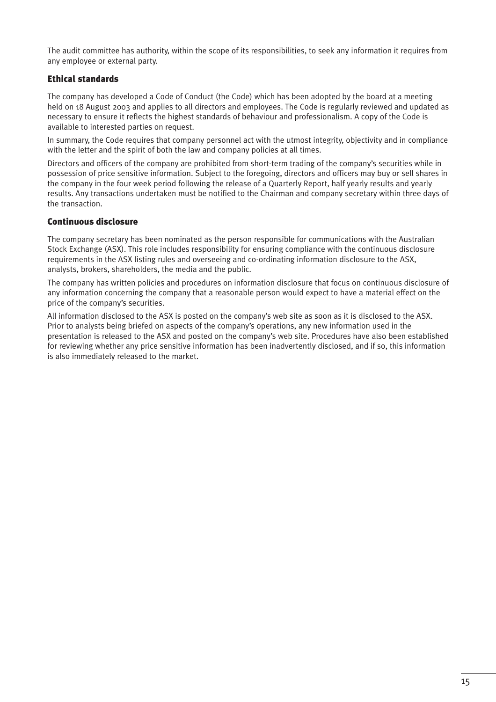The audit committee has authority, within the scope of its responsibilities, to seek any information it requires from any employee or external party.

## Ethical standards

The company has developed a Code of Conduct (the Code) which has been adopted by the board at a meeting held on 18 August 2003 and applies to all directors and employees. The Code is regularly reviewed and updated as necessary to ensure it reflects the highest standards of behaviour and professionalism. A copy of the Code is available to interested parties on request.

In summary, the Code requires that company personnel act with the utmost integrity, objectivity and in compliance with the letter and the spirit of both the law and company policies at all times.

Directors and officers of the company are prohibited from short-term trading of the company's securities while in possession of price sensitive information. Subject to the foregoing, directors and officers may buy or sell shares in the company in the four week period following the release of a Quarterly Report, half yearly results and yearly results. Any transactions undertaken must be notified to the Chairman and company secretary within three days of the transaction.

## Continuous disclosure

The company secretary has been nominated as the person responsible for communications with the Australian Stock Exchange (ASX). This role includes responsibility for ensuring compliance with the continuous disclosure requirements in the ASX listing rules and overseeing and co-ordinating information disclosure to the ASX, analysts, brokers, shareholders, the media and the public.

The company has written policies and procedures on information disclosure that focus on continuous disclosure of any information concerning the company that a reasonable person would expect to have a material effect on the price of the company's securities.

All information disclosed to the ASX is posted on the company's web site as soon as it is disclosed to the ASX. Prior to analysts being briefed on aspects of the company's operations, any new information used in the presentation is released to the ASX and posted on the company's web site. Procedures have also been established for reviewing whether any price sensitive information has been inadvertently disclosed, and if so, this information is also immediately released to the market.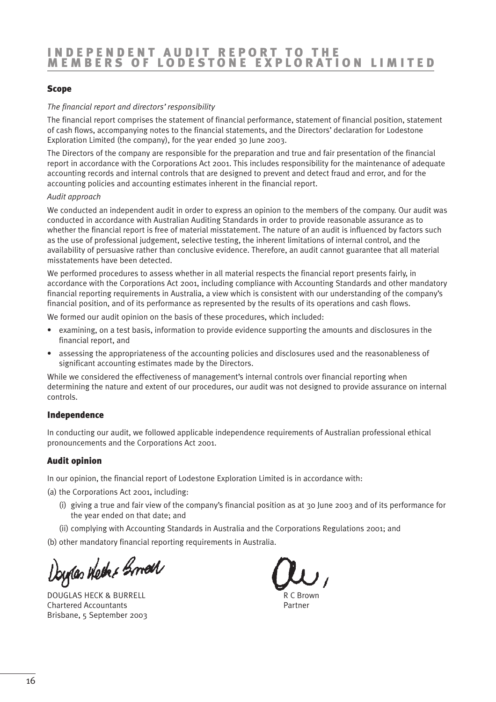# INDEPENDENT AUDIT REPORT TO THE MEMBERS OF LODESTONE EXPLORATION LIMITED

## Scope

## *The financial report and directors' responsibility*

The financial report comprises the statement of financial performance, statement of financial position, statement of cash flows, accompanying notes to the financial statements, and the Directors' declaration for Lodestone Exploration Limited (the company), for the year ended 30 June 2003.

The Directors of the company are responsible for the preparation and true and fair presentation of the financial report in accordance with the Corporations Act 2001. This includes responsibility for the maintenance of adequate accounting records and internal controls that are designed to prevent and detect fraud and error, and for the accounting policies and accounting estimates inherent in the financial report.

### *Audit approach*

We conducted an independent audit in order to express an opinion to the members of the company. Our audit was conducted in accordance with Australian Auditing Standards in order to provide reasonable assurance as to whether the financial report is free of material misstatement. The nature of an audit is influenced by factors such as the use of professional judgement, selective testing, the inherent limitations of internal control, and the availability of persuasive rather than conclusive evidence. Therefore, an audit cannot guarantee that all material misstatements have been detected.

We performed procedures to assess whether in all material respects the financial report presents fairly, in accordance with the Corporations Act 2001, including compliance with Accounting Standards and other mandatory financial reporting requirements in Australia, a view which is consistent with our understanding of the company's financial position, and of its performance as represented by the results of its operations and cash flows.

We formed our audit opinion on the basis of these procedures, which included:

- examining, on a test basis, information to provide evidence supporting the amounts and disclosures in the financial report, and
- assessing the appropriateness of the accounting policies and disclosures used and the reasonableness of significant accounting estimates made by the Directors.

While we considered the effectiveness of management's internal controls over financial reporting when determining the nature and extent of our procedures, our audit was not designed to provide assurance on internal controls.

## Independence

In conducting our audit, we followed applicable independence requirements of Australian professional ethical pronouncements and the Corporations Act 2001.

## Audit opinion

In our opinion, the financial report of Lodestone Exploration Limited is in accordance with:

- (a) the Corporations Act 2001, including:
	- (i) giving a true and fair view of the company's financial position as at 30 June 2003 and of its performance for the year ended on that date; and
	- (ii) complying with Accounting Standards in Australia and the Corporations Regulations 2001; and
- (b) other mandatory financial reporting requirements in Australia.

Douglas Welks Broad

DOUGLAS HECK & BURRELL R C Brown Chartered Accountants **Partner** Brisbane, 5 September 2003

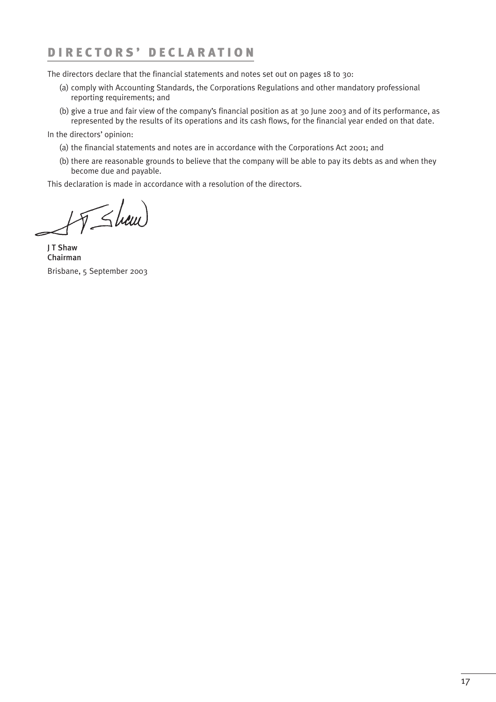# DIRECTORS' DECLARATION

The directors declare that the financial statements and notes set out on pages 18 to 30:

- (a) comply with Accounting Standards, the Corporations Regulations and other mandatory professional reporting requirements; and
- (b) give a true and fair view of the company's financial position as at 30 June 2003 and of its performance, as represented by the results of its operations and its cash flows, for the financial year ended on that date.

In the directors' opinion:

- (a) the financial statements and notes are in accordance with the Corporations Act 2001; and
- (b) there are reasonable grounds to believe that the company will be able to pay its debts as and when they become due and payable.

This declaration is made in accordance with a resolution of the directors.

J Show

J T Shaw Chairman Brisbane, 5 September 2003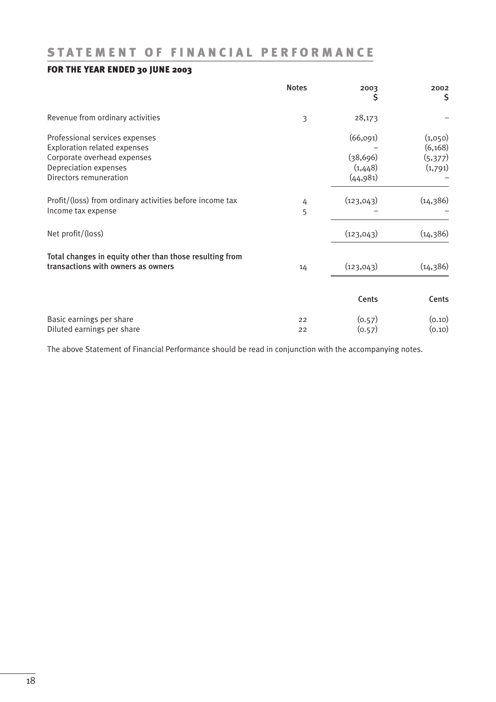# STATEMENT OF FINANCIAL PERFORMANCE

# FOR THE YEAR ENDED 30 JUNE 2003

|                                                                                                                                                         | <b>Notes</b> | 2003<br>S                                    | 2002<br>\$                                 |
|---------------------------------------------------------------------------------------------------------------------------------------------------------|--------------|----------------------------------------------|--------------------------------------------|
| Revenue from ordinary activities                                                                                                                        | 3            | 28,173                                       |                                            |
| Professional services expenses<br><b>Exploration related expenses</b><br>Corporate overhead expenses<br>Depreciation expenses<br>Directors remuneration |              | (66,091)<br>(38, 696)<br>(1,448)<br>(44,981) | (1,050)<br>(6, 168)<br>(5, 377)<br>(1,791) |
| Profit/(loss) from ordinary activities before income tax<br>Income tax expense                                                                          | 4<br>5       | (123, 043)                                   | (14, 386)                                  |
| Net profit/(loss)                                                                                                                                       |              | (123, 043)                                   | (14, 386)                                  |
| Total changes in equity other than those resulting from<br>transactions with owners as owners                                                           | 14           | (123, 043)                                   | (14, 386)                                  |
|                                                                                                                                                         |              | Cents                                        | Cents                                      |
| Basic earnings per share<br>Diluted earnings per share                                                                                                  | 22<br>22     | (0.57)<br>(0.57)                             | (0.10)<br>(0.10)                           |

The above Statement of Financial Performance should be read in conjunction with the accompanying notes.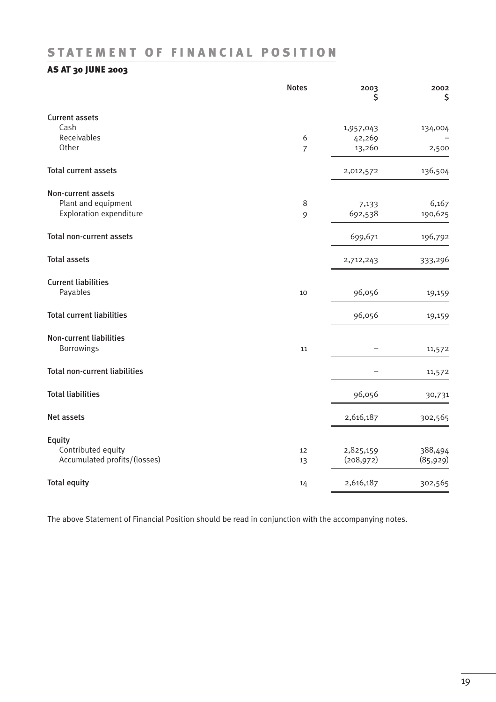# STATEMENT OF FINANCIAL POSITION

# AS AT 30 JUNE 2003

|                                      | <b>Notes</b>   | 2003<br>S  | 2002<br>\$ |
|--------------------------------------|----------------|------------|------------|
| <b>Current assets</b>                |                |            |            |
| Cash                                 |                | 1,957,043  | 134,004    |
| Receivables                          | 6              | 42,269     |            |
| Other                                | $\overline{7}$ | 13,260     | 2,500      |
| <b>Total current assets</b>          |                | 2,012,572  | 136,504    |
| <b>Non-current assets</b>            |                |            |            |
| Plant and equipment                  | 8              | 7,133      | 6,167      |
| <b>Exploration expenditure</b>       | 9              | 692,538    | 190,625    |
| <b>Total non-current assets</b>      |                | 699,671    | 196,792    |
| <b>Total assets</b>                  |                | 2,712,243  | 333,296    |
| <b>Current liabilities</b>           |                |            |            |
| Payables                             | 10             | 96,056     | 19,159     |
| <b>Total current liabilities</b>     |                | 96,056     | 19,159     |
| <b>Non-current liabilities</b>       |                |            |            |
| <b>Borrowings</b>                    | 11             |            | 11,572     |
| <b>Total non-current liabilities</b> |                |            | 11,572     |
| <b>Total liabilities</b>             |                | 96,056     | 30,731     |
| Net assets                           |                | 2,616,187  | 302,565    |
| Equity                               |                |            |            |
| Contributed equity                   | 12             | 2,825,159  | 388,494    |
| Accumulated profits/(losses)         | 13             | (208, 972) | (85, 929)  |
| <b>Total equity</b>                  | 14             | 2,616,187  | 302,565    |

The above Statement of Financial Position should be read in conjunction with the accompanying notes.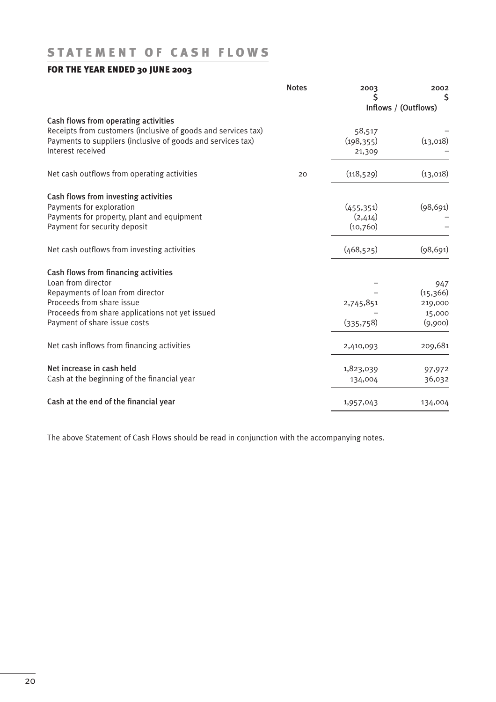# STATEMENT OF CASH FLOWS

# FOR THE YEAR ENDED 30 JUNE 2003

|                                                               | <b>Notes</b> | 2003       | 2002                       |
|---------------------------------------------------------------|--------------|------------|----------------------------|
|                                                               |              |            | \$<br>Inflows / (Outflows) |
| Cash flows from operating activities                          |              |            |                            |
| Receipts from customers (inclusive of goods and services tax) |              | 58,517     |                            |
| Payments to suppliers (inclusive of goods and services tax)   |              | (198, 355) | (13,018)                   |
| Interest received                                             |              | 21,309     |                            |
| Net cash outflows from operating activities                   | 20           | (118, 529) | (13,018)                   |
| Cash flows from investing activities                          |              |            |                            |
| Payments for exploration                                      |              | (455, 351) | (98, 691)                  |
| Payments for property, plant and equipment                    |              | (2,414)    |                            |
| Payment for security deposit                                  |              | (10,760)   |                            |
| Net cash outflows from investing activities                   |              | (468, 525) | (98, 691)                  |
| Cash flows from financing activities                          |              |            |                            |
| Loan from director                                            |              |            | 947                        |
| Repayments of loan from director                              |              |            | (15, 366)                  |
| Proceeds from share issue                                     |              | 2,745,851  | 219,000                    |
| Proceeds from share applications not yet issued               |              |            | 15,000                     |
| Payment of share issue costs                                  |              | (335,758)  | (9,900)                    |
| Net cash inflows from financing activities                    |              | 2,410,093  | 209,681                    |
| Net increase in cash held                                     |              | 1,823,039  | 97,972                     |
| Cash at the beginning of the financial year                   |              | 134,004    | 36,032                     |
| Cash at the end of the financial year                         |              | 1,957,043  | 134,004                    |

The above Statement of Cash Flows should be read in conjunction with the accompanying notes.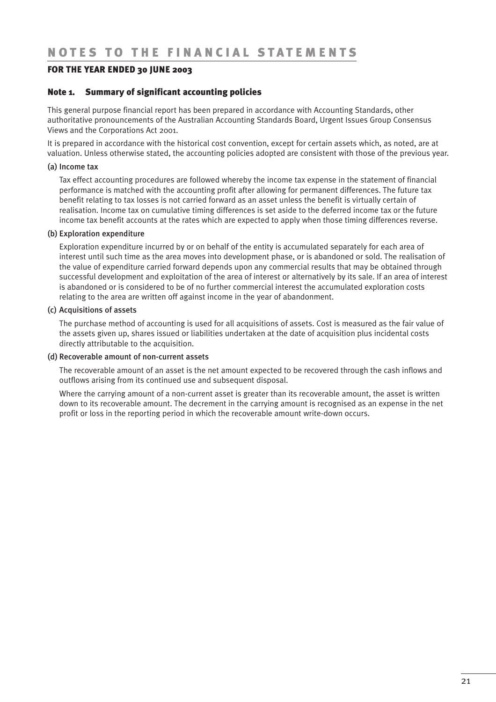## FOR THE YEAR ENDED 30 JUNE 2003

## Note 1. Summary of significant accounting policies

This general purpose financial report has been prepared in accordance with Accounting Standards, other authoritative pronouncements of the Australian Accounting Standards Board, Urgent Issues Group Consensus Views and the Corporations Act 2001.

It is prepared in accordance with the historical cost convention, except for certain assets which, as noted, are at valuation. Unless otherwise stated, the accounting policies adopted are consistent with those of the previous year.

### (a) Income tax

Tax effect accounting procedures are followed whereby the income tax expense in the statement of financial performance is matched with the accounting profit after allowing for permanent differences. The future tax benefit relating to tax losses is not carried forward as an asset unless the benefit is virtually certain of realisation. Income tax on cumulative timing differences is set aside to the deferred income tax or the future income tax benefit accounts at the rates which are expected to apply when those timing differences reverse.

### (b) Exploration expenditure

Exploration expenditure incurred by or on behalf of the entity is accumulated separately for each area of interest until such time as the area moves into development phase, or is abandoned or sold. The realisation of the value of expenditure carried forward depends upon any commercial results that may be obtained through successful development and exploitation of the area of interest or alternatively by its sale. If an area of interest is abandoned or is considered to be of no further commercial interest the accumulated exploration costs relating to the area are written off against income in the year of abandonment.

### (c) Acquisitions of assets

The purchase method of accounting is used for all acquisitions of assets. Cost is measured as the fair value of the assets given up, shares issued or liabilities undertaken at the date of acquisition plus incidental costs directly attributable to the acquisition.

#### (d) Recoverable amount of non-current assets

The recoverable amount of an asset is the net amount expected to be recovered through the cash inflows and outflows arising from its continued use and subsequent disposal.

Where the carrying amount of a non-current asset is greater than its recoverable amount, the asset is written down to its recoverable amount. The decrement in the carrying amount is recognised as an expense in the net profit or loss in the reporting period in which the recoverable amount write-down occurs.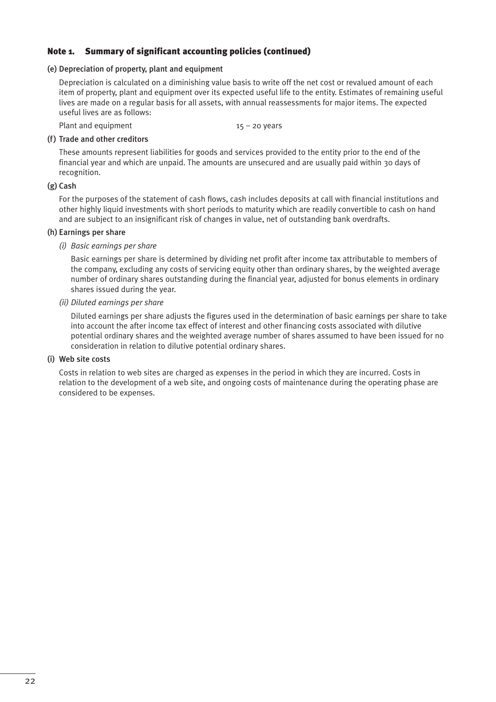## Note 1. Summary of significant accounting policies (continued)

### (e) Depreciation of property, plant and equipment

Depreciation is calculated on a diminishing value basis to write off the net cost or revalued amount of each item of property, plant and equipment over its expected useful life to the entity. Estimates of remaining useful lives are made on a regular basis for all assets, with annual reassessments for major items. The expected useful lives are as follows:

Plant and equipment  $15 - 20$  years

### (f) Trade and other creditors

These amounts represent liabilities for goods and services provided to the entity prior to the end of the financial year and which are unpaid. The amounts are unsecured and are usually paid within 30 days of recognition.

#### (g) Cash

For the purposes of the statement of cash flows, cash includes deposits at call with financial institutions and other highly liquid investments with short periods to maturity which are readily convertible to cash on hand and are subject to an insignificant risk of changes in value, net of outstanding bank overdrafts.

### (h) Earnings per share

### *(i) Basic earnings per share*

Basic earnings per share is determined by dividing net profit after income tax attributable to members of the company, excluding any costs of servicing equity other than ordinary shares, by the weighted average number of ordinary shares outstanding during the financial year, adjusted for bonus elements in ordinary shares issued during the year.

### *(ii) Diluted earnings per share*

Diluted earnings per share adjusts the figures used in the determination of basic earnings per share to take into account the after income tax effect of interest and other financing costs associated with dilutive potential ordinary shares and the weighted average number of shares assumed to have been issued for no consideration in relation to dilutive potential ordinary shares.

#### (i) Web site costs

Costs in relation to web sites are charged as expenses in the period in which they are incurred. Costs in relation to the development of a web site, and ongoing costs of maintenance during the operating phase are considered to be expenses.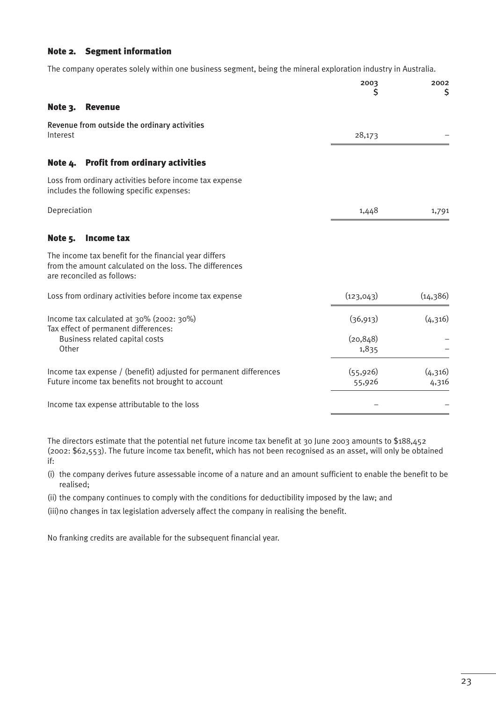## Note 2. Segment information

The company operates solely within one business segment, being the mineral exploration industry in Australia.

|                                                                                                                                                | 2003<br>S           | 2002<br>\$       |
|------------------------------------------------------------------------------------------------------------------------------------------------|---------------------|------------------|
| Note $3.$<br><b>Revenue</b>                                                                                                                    |                     |                  |
| Revenue from outside the ordinary activities<br>Interest                                                                                       | 28,173              |                  |
| Note 4. Profit from ordinary activities                                                                                                        |                     |                  |
| Loss from ordinary activities before income tax expense<br>includes the following specific expenses:                                           |                     |                  |
| Depreciation                                                                                                                                   | 1,448               | 1,791            |
| Income tax<br>Note 5.                                                                                                                          |                     |                  |
| The income tax benefit for the financial year differs<br>from the amount calculated on the loss. The differences<br>are reconciled as follows: |                     |                  |
| Loss from ordinary activities before income tax expense                                                                                        | (123, 043)          | (14, 386)        |
| Income tax calculated at 30% (2002: 30%)<br>Tax effect of permanent differences:                                                               | (36,913)            | (4,316)          |
| Business related capital costs<br>Other                                                                                                        | (20, 848)<br>1,835  |                  |
| Income tax expense / (benefit) adjusted for permanent differences<br>Future income tax benefits not brought to account                         | (55, 926)<br>55,926 | (4,316)<br>4,316 |
| Income tax expense attributable to the loss                                                                                                    |                     |                  |

The directors estimate that the potential net future income tax benefit at 30 June 2003 amounts to \$188,452 (2002: \$62,553). The future income tax benefit, which has not been recognised as an asset, will only be obtained if:

(i) the company derives future assessable income of a nature and an amount sufficient to enable the benefit to be realised;

(ii) the company continues to comply with the conditions for deductibility imposed by the law; and

(iii)no changes in tax legislation adversely affect the company in realising the benefit.

No franking credits are available for the subsequent financial year.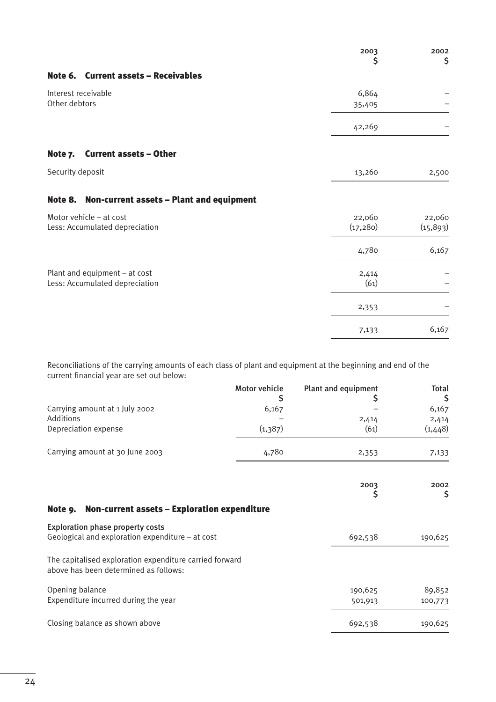|                                                  | 2003<br>\$ | 2002<br>\$ |
|--------------------------------------------------|------------|------------|
| Note 6. Current assets - Receivables             |            |            |
| Interest receivable                              | 6,864      |            |
| Other debtors                                    | 35,405     |            |
|                                                  | 42,269     |            |
| Note 7.<br><b>Current assets - Other</b>         |            |            |
| Security deposit                                 | 13,260     | 2,500      |
| Note 8. Non-current assets - Plant and equipment |            |            |
| Motor vehicle $-$ at cost                        | 22,060     | 22,060     |
| Less: Accumulated depreciation                   | (17, 280)  | (15, 893)  |
|                                                  | 4,780      | 6,167      |
| Plant and equipment - at cost                    | 2,414      |            |
| Less: Accumulated depreciation                   | (61)       |            |
|                                                  | 2,353      |            |
|                                                  | 7,133      | 6,167      |

Reconciliations of the carrying amounts of each class of plant and equipment at the beginning and end of the current financial year are set out below:

|                                                                                                  | Motor vehicle<br>S | <b>Plant and equipment</b> | <b>Total</b><br>\$ |
|--------------------------------------------------------------------------------------------------|--------------------|----------------------------|--------------------|
| Carrying amount at 1 July 2002                                                                   | 6,167              |                            | 6,167              |
| Additions                                                                                        |                    | 2,414                      | 2,414              |
| Depreciation expense                                                                             | (1, 387)           | (61)                       | (1,448)            |
| Carrying amount at 30 June 2003                                                                  | 4,780              | 2,353                      | 7,133              |
|                                                                                                  |                    | 2003<br>\$                 | 2002<br>\$         |
| Non-current assets - Exploration expenditure<br>Note 9.                                          |                    |                            |                    |
| <b>Exploration phase property costs</b><br>Geological and exploration expenditure $-$ at cost    |                    | 692,538                    | 190,625            |
| The capitalised exploration expenditure carried forward<br>above has been determined as follows: |                    |                            |                    |
| Opening balance                                                                                  |                    | 190,625                    | 89,852             |
| Expenditure incurred during the year                                                             |                    | 501,913                    | 100,773            |
| Closing balance as shown above                                                                   |                    | 692,538                    | 190,625            |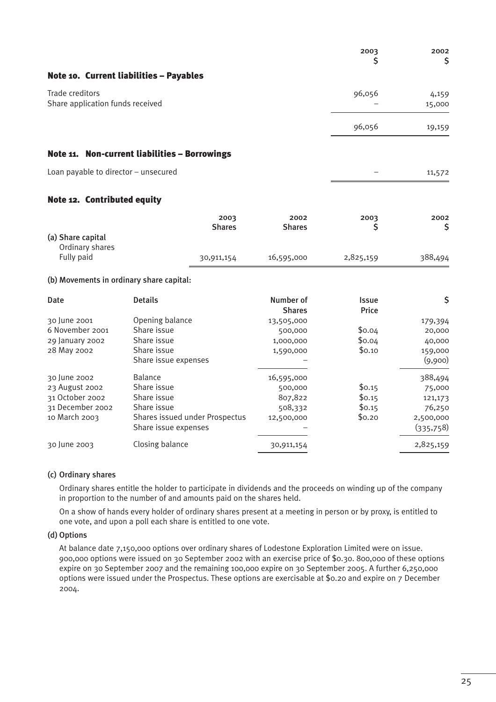|                                                     | 2003   | 2002<br>\$      |
|-----------------------------------------------------|--------|-----------------|
| Note 10. Current liabilities - Payables             |        |                 |
| Trade creditors<br>Share application funds received | 96,056 | 4,159<br>15,000 |
|                                                     | 96,056 | 19,159          |
|                                                     |        |                 |

## Note 11. Non-current liabilities – Borrowings

| Loan payable to director - unsecured |  | 11,572 |
|--------------------------------------|--|--------|
|--------------------------------------|--|--------|

## Note 12. Contributed equity

|                                      | 2003<br><b>Shares</b> | 2002<br><b>Shares</b> | 2003      | 2002    |
|--------------------------------------|-----------------------|-----------------------|-----------|---------|
| (a) Share capital<br>Ordinary shares |                       |                       |           |         |
| Fully paid                           | 30,911,154            | 16,595,000            | 2,825,159 | 388,494 |

### (b) Movements in ordinary share capital:

| Date             | <b>Details</b>                 | Number of<br><b>Shares</b> | <b>Issue</b><br>Price | \$        |
|------------------|--------------------------------|----------------------------|-----------------------|-----------|
| 30 June 2001     | Opening balance                | 13,505,000                 |                       | 179,394   |
| 6 November 2001  | Share issue                    | 500,000                    | \$0.04                | 20,000    |
| 29 January 2002  | Share issue                    | 1,000,000                  | \$0.04                | 40,000    |
| 28 May 2002      | Share issue                    | 1,590,000                  | \$0.10                | 159,000   |
|                  | Share issue expenses           |                            |                       | (9,900)   |
| 30 June 2002     | <b>Balance</b>                 | 16,595,000                 |                       | 388,494   |
| 23 August 2002   | Share issue                    | 500,000                    | \$0.15                | 75,000    |
| 31 October 2002  | Share issue                    | 807,822                    | \$0.15                | 121,173   |
| 31 December 2002 | Share issue                    | 508,332                    | \$0.15                | 76,250    |
| 10 March 2003    | Shares issued under Prospectus | 12,500,000                 | \$0.20                | 2,500,000 |
|                  | Share issue expenses           |                            |                       | (335,758) |
| 30 June 2003     | Closing balance                | 30,911,154                 |                       | 2,825,159 |

## (c) Ordinary shares

Ordinary shares entitle the holder to participate in dividends and the proceeds on winding up of the company in proportion to the number of and amounts paid on the shares held.

On a show of hands every holder of ordinary shares present at a meeting in person or by proxy, is entitled to one vote, and upon a poll each share is entitled to one vote.

### (d) Options

At balance date 7,150,000 options over ordinary shares of Lodestone Exploration Limited were on issue. 900,000 options were issued on 30 September 2002 with an exercise price of \$0.30. 800,000 of these options expire on 30 September 2007 and the remaining 100,000 expire on 30 September 2005. A further 6,250,000 options were issued under the Prospectus. These options are exercisable at \$0.20 and expire on 7 December 2004.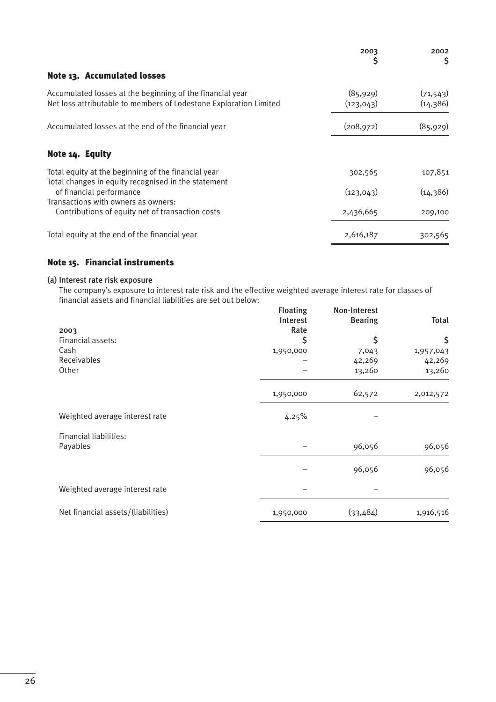|                                                                                                                                | 2003<br>S              | 2002<br>\$             |
|--------------------------------------------------------------------------------------------------------------------------------|------------------------|------------------------|
| Note 13. Accumulated losses                                                                                                    |                        |                        |
| Accumulated losses at the beginning of the financial year<br>Net loss attributable to members of Lodestone Exploration Limited | (85, 929)<br>(123,043) | (71, 543)<br>(14, 386) |
| Accumulated losses at the end of the financial year                                                                            | (208, 972)             | (85, 929)              |
| Note 14. Equity                                                                                                                |                        |                        |
| Total equity at the beginning of the financial year<br>Total changes in equity recognised in the statement                     | 302,565                | 107,851                |
| of financial performance<br>Transactions with owners as owners:                                                                | (123, 043)             | (14, 386)              |
| Contributions of equity net of transaction costs                                                                               | 2,436,665              | 209,100                |
| Total equity at the end of the financial year                                                                                  | 2,616,187              | 302,565                |

# Note 15. Financial instruments

### (a) Interest rate risk exposure

The company's exposure to interest rate risk and the effective weighted average interest rate for classes of financial assets and financial liabilities are set out below: Floating Non-Interest

| 2003                               | <b>Floating</b><br>Interest<br>Rate | Non-Interest<br><b>Bearing</b> | <b>Total</b> |
|------------------------------------|-------------------------------------|--------------------------------|--------------|
| Financial assets:                  | \$                                  | \$                             | \$           |
| Cash                               | 1,950,000                           | 7,043                          | 1,957,043    |
| Receivables                        |                                     | 42,269                         | 42,269       |
| Other                              |                                     | 13,260                         | 13,260       |
|                                    | 1,950,000                           | 62,572                         | 2,012,572    |
| Weighted average interest rate     | 4.25%                               |                                |              |
| Financial liabilities:             |                                     |                                |              |
| Payables                           |                                     | 96,056                         | 96,056       |
|                                    |                                     | 96,056                         | 96,056       |
| Weighted average interest rate     |                                     |                                |              |
| Net financial assets/(liabilities) | 1,950,000                           | (33,484)                       | 1,916,516    |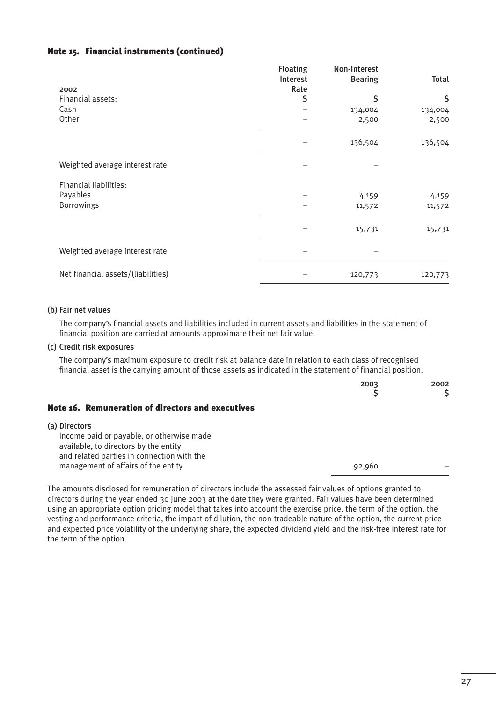## Note 15. Financial instruments (continued)

| 2002                               | <b>Floating</b><br>Interest<br>Rate | Non-Interest<br><b>Bearing</b> | <b>Total</b> |
|------------------------------------|-------------------------------------|--------------------------------|--------------|
| Financial assets:                  | \$                                  | \$                             | \$           |
| Cash                               |                                     | 134,004                        | 134,004      |
| Other                              |                                     | 2,500                          | 2,500        |
|                                    |                                     | 136,504                        | 136,504      |
| Weighted average interest rate     |                                     |                                |              |
| Financial liabilities:             |                                     |                                |              |
| Payables                           |                                     | 4,159                          | 4,159        |
| <b>Borrowings</b>                  |                                     | 11,572                         | 11,572       |
|                                    |                                     | 15,731                         | 15,731       |
| Weighted average interest rate     |                                     |                                |              |
| Net financial assets/(liabilities) |                                     | 120,773                        | 120,773      |

#### (b) Fair net values

The company's financial assets and liabilities included in current assets and liabilities in the statement of financial position are carried at amounts approximate their net fair value.

#### (c) Credit risk exposures

The company's maximum exposure to credit risk at balance date in relation to each class of recognised financial asset is the carrying amount of those assets as indicated in the statement of financial position.

|                                                   | 2003   | 2002<br>S |
|---------------------------------------------------|--------|-----------|
| Note 16. Remuneration of directors and executives |        |           |
| (a) Directors                                     |        |           |
| Income paid or payable, or otherwise made         |        |           |
| available, to directors by the entity             |        |           |
| and related parties in connection with the        |        |           |
| management of affairs of the entity               | 92,960 |           |
|                                                   |        |           |

The amounts disclosed for remuneration of directors include the assessed fair values of options granted to directors during the year ended 30 June 2003 at the date they were granted. Fair values have been determined using an appropriate option pricing model that takes into account the exercise price, the term of the option, the vesting and performance criteria, the impact of dilution, the non-tradeable nature of the option, the current price and expected price volatility of the underlying share, the expected dividend yield and the risk-free interest rate for the term of the option.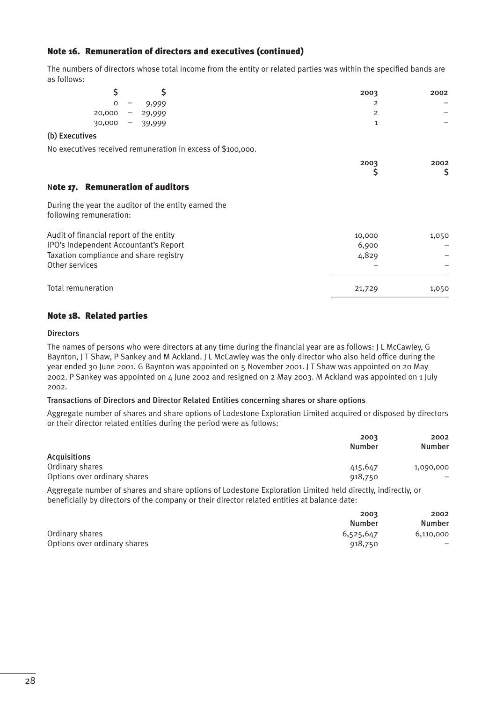## Note 16. Remuneration of directors and executives (continued)

The numbers of directors whose total income from the entity or related parties was within the specified bands are as follows:

| \$                                                                              | 2003   | 2002       |
|---------------------------------------------------------------------------------|--------|------------|
| O<br>9,999                                                                      | 2      |            |
| 20,000<br>29,999                                                                | 2      |            |
| 30,000<br>39,999<br>$\overline{\phantom{m}}$                                    | 1      |            |
| (b) Executives                                                                  |        |            |
| No executives received remuneration in excess of \$100,000.                     |        |            |
|                                                                                 | 2003   | 2002<br>\$ |
| Note 17. Remuneration of auditors                                               |        |            |
| During the year the auditor of the entity earned the<br>following remuneration: |        |            |
| Audit of financial report of the entity                                         | 10,000 | 1,050      |
| IPO's Independent Accountant's Report                                           | 6,900  |            |
| Taxation compliance and share registry                                          | 4,829  |            |
| Other services                                                                  |        |            |
| Total remuneration                                                              | 21,729 | 1,050      |

## Note 18. Related parties

### **Directors**

The names of persons who were directors at any time during the financial year are as follows: J L McCawley, G Baynton, J T Shaw, P Sankey and M Ackland. J L McCawley was the only director who also held office during the year ended 30 June 2001. G Baynton was appointed on 5 November 2001. J T Shaw was appointed on 20 May 2002. P Sankey was appointed on 4 June 2002 and resigned on 2 May 2003. M Ackland was appointed on 1 July 2002.

### Transactions of Directors and Director Related Entities concerning shares or share options

Aggregate number of shares and share options of Lodestone Exploration Limited acquired or disposed by directors or their director related entities during the period were as follows:

|                                                 | 2003<br><b>Number</b> | 2002<br><b>Number</b> |
|-------------------------------------------------|-----------------------|-----------------------|
| <b>Acquisitions</b>                             |                       |                       |
| Ordinary shares<br>Options over ordinary shares | 415,647<br>918,750    | 1,090,000             |

Aggregate number of shares and share options of Lodestone Exploration Limited held directly, indirectly, or beneficially by directors of the company or their director related entities at balance date:

|                              | 2003<br>Number | 2002      |
|------------------------------|----------------|-----------|
|                              |                | Number    |
| Ordinary shares              | 6,525,647      | 6,110,000 |
| Options over ordinary shares | 918,750        |           |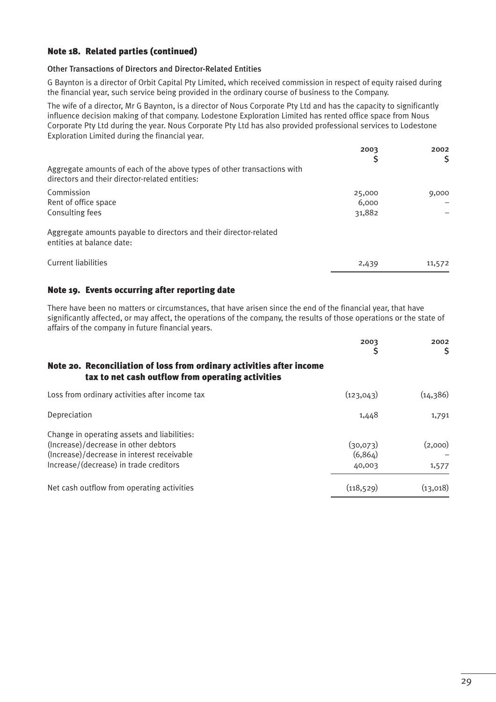## Note 18. Related parties (continued)

### Other Transactions of Directors and Director-Related Entities

G Baynton is a director of Orbit Capital Pty Limited, which received commission in respect of equity raised during the financial year, such service being provided in the ordinary course of business to the Company.

The wife of a director, Mr G Baynton, is a director of Nous Corporate Pty Ltd and has the capacity to significantly influence decision making of that company. Lodestone Exploration Limited has rented office space from Nous Corporate Pty Ltd during the year. Nous Corporate Pty Ltd has also provided professional services to Lodestone Exploration Limited during the financial year.

|                                                                                                                           | 2003   | 2002<br>S |
|---------------------------------------------------------------------------------------------------------------------------|--------|-----------|
| Aggregate amounts of each of the above types of other transactions with<br>directors and their director-related entities: |        |           |
| Commission                                                                                                                | 25,000 | 9,000     |
| Rent of office space                                                                                                      | 6,000  |           |
| Consulting fees                                                                                                           | 31,882 |           |
| Aggregate amounts payable to directors and their director-related<br>entities at balance date:                            |        |           |
| Current liabilities                                                                                                       | 2,439  | 11,572    |

## Note 19. Events occurring after reporting date

There have been no matters or circumstances, that have arisen since the end of the financial year, that have significantly affected, or may affect, the operations of the company, the results of those operations or the state of affairs of the company in future financial years.

|                                                                                                                                                                             | 2003                          | 2002<br>\$       |
|-----------------------------------------------------------------------------------------------------------------------------------------------------------------------------|-------------------------------|------------------|
| Note 20. Reconciliation of loss from ordinary activities after income<br>tax to net cash outflow from operating activities                                                  |                               |                  |
| Loss from ordinary activities after income tax                                                                                                                              | (123,043)                     | (14, 386)        |
| Depreciation                                                                                                                                                                | 1,448                         | 1,791            |
| Change in operating assets and liabilities:<br>(Increase)/decrease in other debtors<br>(Increase)/decrease in interest receivable<br>Increase/(decrease) in trade creditors | (30,073)<br>(6,864)<br>40,003 | (2,000)<br>1,577 |
| Net cash outflow from operating activities                                                                                                                                  | (118, 529)                    | (13,018)         |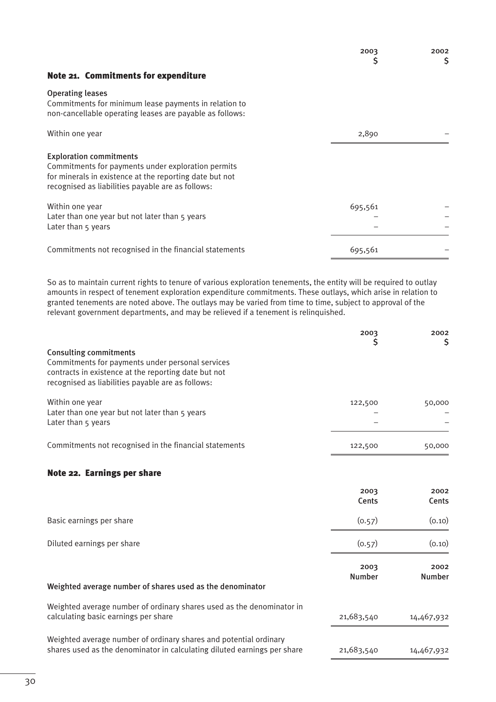### 2003 2002 \$ \$

### Note 21. Commitments for expenditure

#### Operating leases

Commitments for minimum lease payments in relation to non-cancellable operating leases are payable as follows:

| Within one year                                                                                                                                                                                      | 2,890   |  |
|------------------------------------------------------------------------------------------------------------------------------------------------------------------------------------------------------|---------|--|
| <b>Exploration commitments</b><br>Commitments for payments under exploration permits<br>for minerals in existence at the reporting date but not<br>recognised as liabilities payable are as follows: |         |  |
| Within one year<br>Later than one year but not later than 5 years<br>Later than 5 years                                                                                                              | 695,561 |  |
| Commitments not recognised in the financial statements                                                                                                                                               | 695,561 |  |

So as to maintain current rights to tenure of various exploration tenements, the entity will be required to outlay amounts in respect of tenement exploration expenditure commitments. These outlays, which arise in relation to granted tenements are noted above. The outlays may be varied from time to time, subject to approval of the relevant government departments, and may be relieved if a tenement is relinquished.

|                                                                                                                                                                                                | 2003                  | 2002<br>S             |
|------------------------------------------------------------------------------------------------------------------------------------------------------------------------------------------------|-----------------------|-----------------------|
| <b>Consulting commitments</b><br>Commitments for payments under personal services<br>contracts in existence at the reporting date but not<br>recognised as liabilities payable are as follows: |                       |                       |
| Within one year<br>Later than one year but not later than 5 years<br>Later than 5 years                                                                                                        | 122,500               | 50,000                |
| Commitments not recognised in the financial statements                                                                                                                                         | 122,500               | 50,000                |
| Note 22. Earnings per share                                                                                                                                                                    |                       |                       |
|                                                                                                                                                                                                | 2003<br>Cents         | 2002<br>Cents         |
| Basic earnings per share                                                                                                                                                                       | (0.57)                | (0.10)                |
| Diluted earnings per share                                                                                                                                                                     | (0.57)                | (0.10)                |
| Weighted average number of shares used as the denominator                                                                                                                                      | 2003<br><b>Number</b> | 2002<br><b>Number</b> |
| Weighted average number of ordinary shares used as the denominator in<br>calculating basic earnings per share                                                                                  | 21,683,540            | 14,467,932            |
| Weighted average number of ordinary shares and potential ordinary<br>shares used as the denominator in calculating diluted earnings per share                                                  | 21,683,540            | 14,467,932            |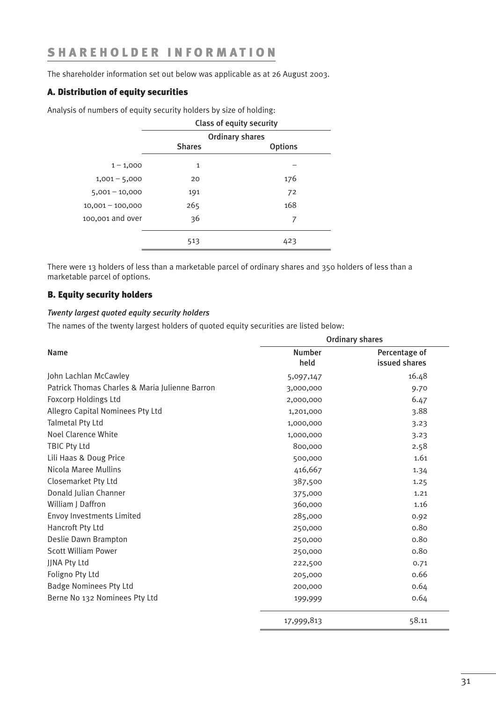# SHAREHOLDER INFORMATION

The shareholder information set out below was applicable as at 26 August 2003.

## A. Distribution of equity securities

|                    | Class of equity security |                        |  |
|--------------------|--------------------------|------------------------|--|
|                    |                          | <b>Ordinary shares</b> |  |
|                    | <b>Shares</b>            | <b>Options</b>         |  |
| $1 - 1,000$        | 1                        |                        |  |
| $1,001 - 5,000$    | 20                       | 176                    |  |
| $5,001 - 10,000$   | 191                      | 72                     |  |
| $10,001 - 100,000$ | 265                      | 168                    |  |
| 100,001 and over   | 36                       | 7                      |  |
|                    | 513                      | 423                    |  |

Analysis of numbers of equity security holders by size of holding:

There were 13 holders of less than a marketable parcel of ordinary shares and 350 holders of less than a marketable parcel of options.

## B. Equity security holders

## *Twenty largest quoted equity security holders*

The names of the twenty largest holders of quoted equity securities are listed below:

|                                                | <b>Ordinary shares</b> |                                |  |
|------------------------------------------------|------------------------|--------------------------------|--|
| Name                                           | <b>Number</b><br>held  | Percentage of<br>issued shares |  |
| John Lachlan McCawley                          | 5,097,147              | 16.48                          |  |
| Patrick Thomas Charles & Maria Julienne Barron | 3,000,000              | 9.70                           |  |
| Foxcorp Holdings Ltd                           | 2,000,000              | 6.47                           |  |
| Allegro Capital Nominees Pty Ltd               | 1,201,000              | 3.88                           |  |
| <b>Talmetal Pty Ltd</b>                        | 1,000,000              | 3.23                           |  |
| Noel Clarence White                            | 1,000,000              | 3.23                           |  |
| TBIC Pty Ltd                                   | 800,000                | 2.58                           |  |
| Lili Haas & Doug Price                         | 500,000                | 1.61                           |  |
| Nicola Maree Mullins                           | 416,667                | 1.34                           |  |
| Closemarket Pty Ltd                            | 387,500                | 1.25                           |  |
| Donald Julian Channer                          | 375,000                | 1.21                           |  |
| William J Daffron                              | 360,000                | 1.16                           |  |
| Envoy Investments Limited                      | 285,000                | 0.92                           |  |
| Hancroft Pty Ltd                               | 250,000                | 0.80                           |  |
| Deslie Dawn Brampton                           | 250,000                | 0.80                           |  |
| <b>Scott William Power</b>                     | 250,000                | 0.80                           |  |
| JJNA Pty Ltd                                   | 222,500                | 0.71                           |  |
| Foligno Pty Ltd                                | 205,000                | 0.66                           |  |
| Badge Nominees Pty Ltd                         | 200,000                | 0.64                           |  |
| Berne No 132 Nominees Pty Ltd                  | 199,999                | 0.64                           |  |
|                                                | 17,999,813             | 58.11                          |  |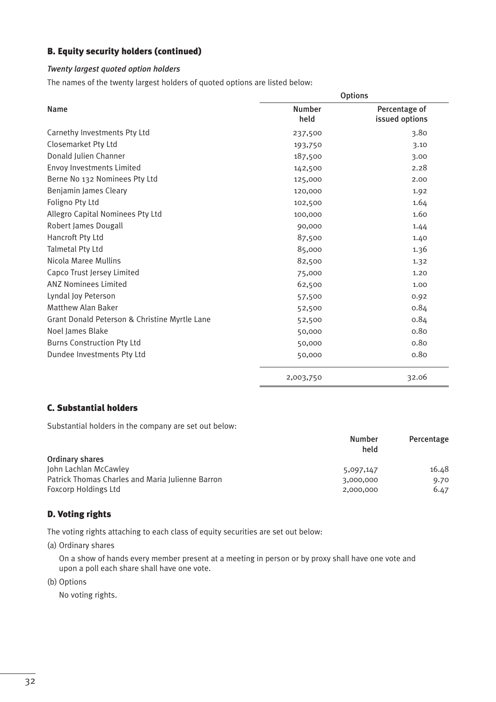## B. Equity security holders (continued)

## *Twenty largest quoted option holders*

The names of the twenty largest holders of quoted options are listed below:

| <b>Options</b>                                |                       |                                 |
|-----------------------------------------------|-----------------------|---------------------------------|
| <b>Name</b>                                   | <b>Number</b><br>held | Percentage of<br>issued options |
| Carnethy Investments Pty Ltd                  | 237,500               | 3.80                            |
| Closemarket Pty Ltd                           | 193,750               | 3.10                            |
| Donald Julien Channer                         | 187,500               | 3.00                            |
| Envoy Investments Limited                     | 142,500               | 2.28                            |
| Berne No 132 Nominees Pty Ltd                 | 125,000               | 2.00                            |
| Benjamin James Cleary                         | 120,000               | 1.92                            |
| Foligno Pty Ltd                               | 102,500               | 1.64                            |
| Allegro Capital Nominees Pty Ltd              | 100,000               | 1.60                            |
| Robert James Dougall                          | 90,000                | 1.44                            |
| Hancroft Pty Ltd                              | 87,500                | 1.40                            |
| Talmetal Pty Ltd                              | 85,000                | 1.36                            |
| Nicola Maree Mullins                          | 82,500                | 1.32                            |
| Capco Trust Jersey Limited                    | 75,000                | 1.20                            |
| <b>ANZ Nominees Limited</b>                   | 62,500                | 1.00                            |
| Lyndal Joy Peterson                           | 57,500                | 0.92                            |
| <b>Matthew Alan Baker</b>                     | 52,500                | 0.84                            |
| Grant Donald Peterson & Christine Myrtle Lane | 52,500                | 0.84                            |
| Noel James Blake                              | 50,000                | 0.80                            |
| <b>Burns Construction Pty Ltd</b>             | 50,000                | 0.80                            |
| Dundee Investments Pty Ltd                    | 50,000                | 0.80                            |
|                                               | 2,003,750             | 32.06                           |

## C. Substantial holders

Substantial holders in the company are set out below:

| <b>Number</b><br>held | Percentage |
|-----------------------|------------|
|                       |            |
| 5,097,147             | 16.48      |
| 3,000,000             | 9.70       |
| 2,000,000             | 6.47       |
|                       |            |

## D. Voting rights

The voting rights attaching to each class of equity securities are set out below:

(a) Ordinary shares

On a show of hands every member present at a meeting in person or by proxy shall have one vote and upon a poll each share shall have one vote.

(b) Options

No voting rights.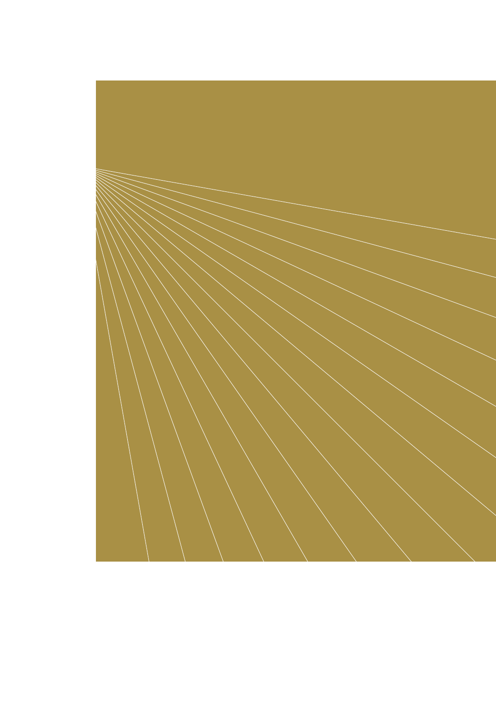